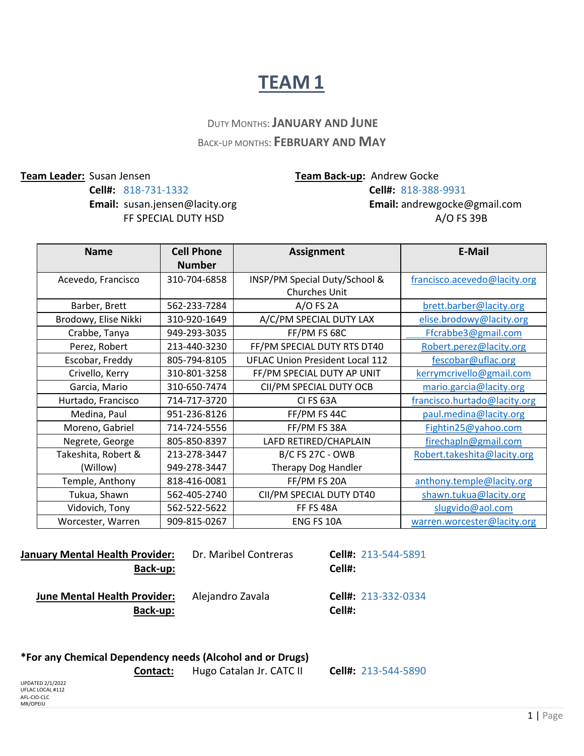## **TEAM 1**

### DUTY MONTHS:**JANUARY AND JUNE** BACK-UP MONTHS: **FEBRUARY AND MAY**

#### **Team Leader:** Susan Jensen **Team Back-up:** Andrew Gocke **Cell#:** 818-731-1332 **Cell#:** 818-388-9931 **Email:** susan.jensen@lacity.org **Email:** [andrewgocke@gmail.com](mailto:andrewgocke@gmail.com) FF SPECIAL DUTY HSD A/O FS 39B

| <b>Name</b>          | <b>Cell Phone</b> | <b>Assignment</b>                      | <b>E-Mail</b>                |
|----------------------|-------------------|----------------------------------------|------------------------------|
|                      | <b>Number</b>     |                                        |                              |
| Acevedo, Francisco   | 310-704-6858      | INSP/PM Special Duty/School &          | francisco.acevedo@lacity.org |
|                      |                   | Churches Unit                          |                              |
| Barber, Brett        | 562-233-7284      | $A/O$ FS 2A                            | brett.barber@lacity.org      |
| Brodowy, Elise Nikki | 310-920-1649      | A/C/PM SPECIAL DUTY LAX                | elise.brodowy@lacity.org     |
| Crabbe, Tanya        | 949-293-3035      | FF/PM FS 68C                           | Ffcrabbe3@gmail.com          |
| Perez, Robert        | 213-440-3230      | FF/PM SPECIAL DUTY RTS DT40            | Robert.perez@lacity.org      |
| Escobar, Freddy      | 805-794-8105      | <b>UFLAC Union President Local 112</b> | fescobar@uflac.org           |
| Crivello, Kerry      | 310-801-3258      | FF/PM SPECIAL DUTY AP UNIT             | kerrymcrivello@gmail.com     |
| Garcia, Mario        | 310-650-7474      | CII/PM SPECIAL DUTY OCB                | mario.garcia@lacity.org      |
| Hurtado, Francisco   | 714-717-3720      | <b>CI FS 63A</b>                       | francisco.hurtado@lacity.org |
| Medina, Paul         | 951-236-8126      | FF/PM FS 44C                           | paul.medina@lacity.org       |
| Moreno, Gabriel      | 714-724-5556      | FF/PM FS 38A                           | Fightin25@yahoo.com          |
| Negrete, George      | 805-850-8397      | LAFD RETIRED/CHAPLAIN                  | firechapln@gmail.com         |
| Takeshita, Robert &  | 213-278-3447      | <b>B/C FS 27C - OWB</b>                | Robert.takeshita@lacity.org  |
| (Willow)             | 949-278-3447      | Therapy Dog Handler                    |                              |
| Temple, Anthony      | 818-416-0081      | FF/PM FS 20A                           | anthony.temple@lacity.org    |
| Tukua, Shawn         | 562-405-2740      | CII/PM SPECIAL DUTY DT40               | shawn.tukua@lacity.org       |
| Vidovich, Tony       | 562-522-5622      | <b>FF FS 48A</b>                       | slugvido@aol.com             |
| Worcester, Warren    | 909-815-0267      | ENG FS 10A                             | warren.worcester@lacity.org  |

| January Mental Health Provider:<br>Back-up:     | Dr. Maribel Contreras | <b>Cell#: 213-544-5891</b><br>Cell#: |
|-------------------------------------------------|-----------------------|--------------------------------------|
| <b>June Mental Health Provider:</b><br>Back-up: | Alejandro Zavala      | <b>Cell#: 213-332-0334</b><br>Cell#: |

#### **\*For any Chemical Dependency needs (Alcohol and or Drugs)**

 **Contact:** Hugo Catalan Jr. CATC II **Cell#:** 213-544-5890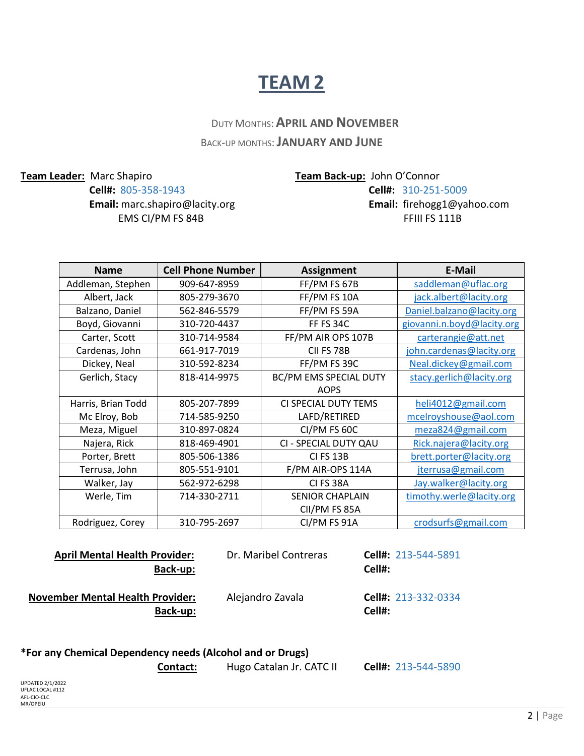## **TEAM 2**

 DUTY MONTHS:**APRIL AND NOVEMBER** BACK-UP MONTHS:**JANUARY AND JUNE**

**Email:** [marc.shapiro@lacity.org](mailto:marc.shapiro@lacity.org) **Email:** [firehogg1@yahoo.com](mailto:firehogg1@yahoo.com) **EMS CI/PM FS 84B** FFIII FS 111B

**Team Leader:** Marc Shapiro **Team Back-up:** John O'Connor **Cell#:** 805-358-1943 **Cell#:** 310-251-5009

| <b>Name</b>        | <b>Cell Phone Number</b> | <b>Assignment</b>      | E-Mail                     |
|--------------------|--------------------------|------------------------|----------------------------|
| Addleman, Stephen  | 909-647-8959             | FF/PM FS 67B           | saddleman@uflac.org        |
| Albert, Jack       | 805-279-3670             | FF/PM FS 10A           | jack.albert@lacity.org     |
| Balzano, Daniel    | 562-846-5579             | FF/PM FS 59A           | Daniel.balzano@lacity.org  |
| Boyd, Giovanni     | 310-720-4437             | <b>FF FS 34C</b>       | giovanni.n.boyd@lacity.org |
| Carter, Scott      | 310-714-9584             | FF/PM AIR OPS 107B     | carterangie@att.net        |
| Cardenas, John     | 661-917-7019             | CII FS 78B             | john.cardenas@lacity.org   |
| Dickey, Neal       | 310-592-8234             | FF/PM FS 39C           | Neal.dickey@gmail.com      |
| Gerlich, Stacy     | 818-414-9975             | BC/PM EMS SPECIAL DUTY | stacy.gerlich@lacity.org   |
|                    |                          | <b>AOPS</b>            |                            |
| Harris, Brian Todd | 805-207-7899             | CI SPECIAL DUTY TEMS   | heli4012@gmail.com         |
| Mc Elroy, Bob      | 714-585-9250             | LAFD/RETIRED           | mcelroyshouse@aol.com      |
| Meza, Miguel       | 310-897-0824             | CI/PM FS 60C           | meza824@gmail.com          |
| Najera, Rick       | 818-469-4901             | CI - SPECIAL DUTY QAU  | Rick.najera@lacity.org     |
| Porter, Brett      | 805-506-1386             | <b>CI FS 13B</b>       | brett.porter@lacity.org    |
| Terrusa, John      | 805-551-9101             | F/PM AIR-OPS 114A      | jterrusa@gmail.com         |
| Walker, Jay        | 562-972-6298             | CI FS 38A              | Jay.walker@lacity.org      |
| Werle, Tim         | 714-330-2711             | <b>SENIOR CHAPLAIN</b> | timothy.werle@lacity.org   |
|                    |                          | CII/PM FS 85A          |                            |
| Rodriguez, Corey   | 310-795-2697             | CI/PM FS 91A           | crodsurfs@gmail.com        |

 **April Mental Health Provider:** Dr. Maribel Contreras **Cell#:** 213-544-5891  **Back-up: Cell#: November Mental Health Provider:** Alejandro Zavala **Cell#: 213-332-0334 Back-up: Cell#:**

#### **\*For any Chemical Dependency needs (Alcohol and or Drugs)**

UPDATED 2/1/2022 UFLAC LOCAL #112 AFL-CIO-CLC MR/OPEIU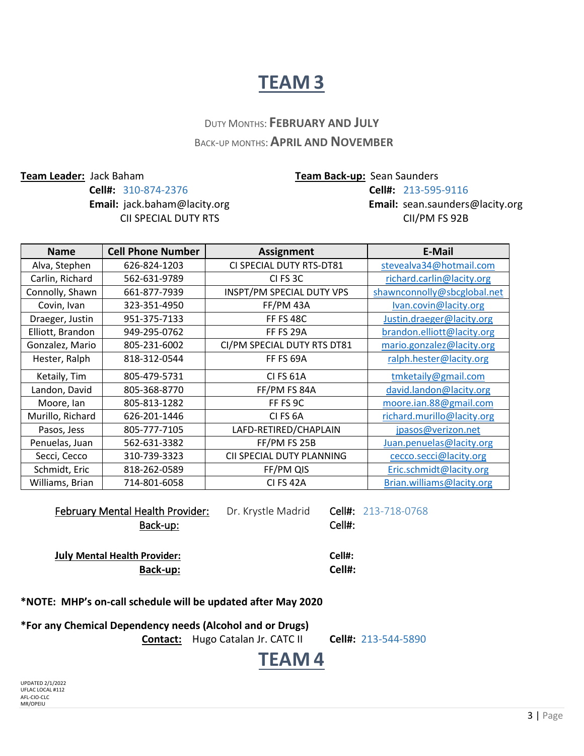## **TEAM 3**

### DUTY MONTHS: **FEBRUARY AND JULY** BACK-UP MONTHS:**APRIL AND NOVEMBER**

**Cell#:** 310-874-2376 **Cell#:** 213-595-9116 CII SPECIAL DUTY RTSCII/PM FS 92B

**Team Leader:** Jack Baham **Team Back-up:** Sean Saunders

**Email:** [jack.baham@lacity.org](mailto:jack.baham@lacity.org) **Email:** [sean.saunders@lacity.org](mailto:sean.saunders@lacity.org)

| <b>Name</b>      | <b>Cell Phone Number</b> | <b>Assignment</b>           | E-Mail                      |
|------------------|--------------------------|-----------------------------|-----------------------------|
| Alva, Stephen    | 626-824-1203             | CI SPECIAL DUTY RTS-DT81    | stevealva34@hotmail.com     |
| Carlin, Richard  | 562-631-9789             | CI FS 3C                    | richard.carlin@lacity.org   |
| Connolly, Shawn  | 661-877-7939             | INSPT/PM SPECIAL DUTY VPS   | shawnconnolly@sbcglobal.net |
| Covin, Ivan      | 323-351-4950             | FF/PM 43A                   | Ivan.covin@lacity.org       |
| Draeger, Justin  | 951-375-7133             | <b>FF FS 48C</b>            | Justin.draeger@lacity.org   |
| Elliott, Brandon | 949-295-0762             | <b>FF FS 29A</b>            | brandon.elliott@lacity.org  |
| Gonzalez, Mario  | 805-231-6002             | CI/PM SPECIAL DUTY RTS DT81 | mario.gonzalez@lacity.org   |
| Hester, Ralph    | 818-312-0544             | FF FS 69A                   | ralph.hester@lacity.org     |
| Ketaily, Tim     | 805-479-5731             | <b>CI FS 61A</b>            | tmketaily@gmail.com         |
| Landon, David    | 805-368-8770             | FF/PM FS 84A                | david.landon@lacity.org     |
| Moore, lan       | 805-813-1282             | FF FS 9C                    | moore.ian.88@gmail.com      |
| Murillo, Richard | 626-201-1446             | CI FS <sub>6</sub> A        | richard.murillo@lacity.org  |
| Pasos, Jess      | 805-777-7105             | LAFD-RETIRED/CHAPLAIN       | jpasos@verizon.net          |
| Penuelas, Juan   | 562-631-3382             | FF/PM FS 25B                | Juan.penuelas@lacity.org    |
| Secci, Cecco     | 310-739-3323             | CII SPECIAL DUTY PLANNING   | cecco.secci@lacity.org      |
| Schmidt, Eric    | 818-262-0589             | FF/PM QIS                   | Eric.schmidt@lacity.org     |
| Williams, Brian  | 714-801-6058             | <b>CI FS 42A</b>            | Brian.williams@lacity.org   |

February Mental Health Provider: Dr. Krystle Madrid Cell#: 213-718-0768 Example of the Back-up: the Back-up: the Cell of the Cell of the Cell of the Cell of the Cell of the Cell of the Cell of the Cell of the Cell of the Cell of the Cell of the Cell of the Cell of the Cell of the Cell of the C **July Mental Health Provider: Cell#: Back-up: Cell#:** 

**\*NOTE: MHP's on-call schedule will be updated after May 2020**

**\*For any Chemical Dependency needs (Alcohol and or Drugs)**

 **Contact:** Hugo Catalan Jr. CATC II **Cell#:** 213-544-5890

# **TEAM 4**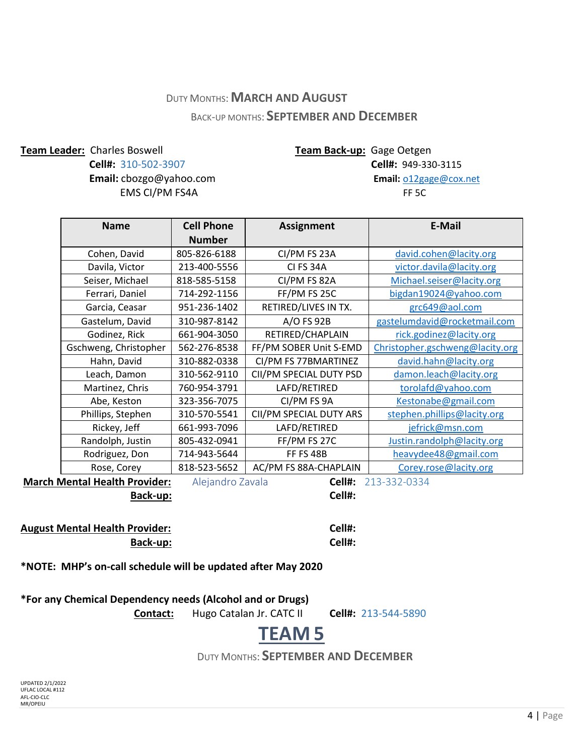### DUTY MONTHS:**MARCH AND AUGUST** BACK-UP MONTHS: **SEPTEMBER AND DECEMBER**

**Team Leader:** Charles Boswell **Team Back-up:** Gage Oetgen

**EMS CI/PM FS4A FF 5C** 

**Cell#:** 310-502-3907 **Cell#:** 949-330-3115 **Email:** [cbozgo@yahoo.com](mailto:cbozgo@yahoo.com) **Email:** o12gage@cox.net

| <b>Name</b>           | <b>Cell Phone</b> | <b>Assignment</b>       | E-Mail                          |
|-----------------------|-------------------|-------------------------|---------------------------------|
|                       | <b>Number</b>     |                         |                                 |
| Cohen, David          | 805-826-6188      | CI/PM FS 23A            | david.cohen@lacity.org          |
| Davila, Victor        | 213-400-5556      | CI FS 34A               | victor.davila@lacity.org        |
| Seiser, Michael       | 818-585-5158      | CI/PM FS 82A            | Michael.seiser@lacity.org       |
| Ferrari, Daniel       | 714-292-1156      | FF/PM FS 25C            | bigdan19024@yahoo.com           |
| Garcia, Ceasar        | 951-236-1402      | RETIRED/LIVES IN TX.    | grc649@aol.com                  |
| Gastelum, David       | 310-987-8142      | A/O FS 92B              | gastelumdavid@rocketmail.com    |
| Godinez, Rick         | 661-904-3050      | RETIRED/CHAPLAIN        | rick.godinez@lacity.org         |
| Gschweng, Christopher | 562-276-8538      | FF/PM SOBER Unit S-EMD  | Christopher.gschweng@lacity.org |
| Hahn, David           | 310-882-0338      | CI/PM FS 77BMARTINEZ    | david.hahn@lacity.org           |
| Leach, Damon          | 310-562-9110      | CII/PM SPECIAL DUTY PSD | damon.leach@lacity.org          |
| Martinez, Chris       | 760-954-3791      | LAFD/RETIRED            | torolafd@yahoo.com              |
| Abe, Keston           | 323-356-7075      | CI/PM FS 9A             | Kestonabe@gmail.com             |
| Phillips, Stephen     | 310-570-5541      | CII/PM SPECIAL DUTY ARS | stephen.phillips@lacity.org     |
| Rickey, Jeff          | 661-993-7096      | LAFD/RETIRED            | <u>jefrick@msn.com</u>          |
| Randolph, Justin      | 805-432-0941      | FF/PM FS 27C            | Justin.randolph@lacity.org      |
| Rodriguez, Don        | 714-943-5644      | <b>FF FS 48B</b>        | heavydee48@gmail.com            |
| Rose, Corey           | 818-523-5652      | AC/PM FS 88A-CHAPLAIN   | Corey.rose@lacity.org           |

**March Mental Health Provider:** Alejandro Zavala **Cell#:** 213-332-0334

**Back-up: Cell#:**

**August Mental Health Provider: Cell#: Back-up: Cell#:**

**\*NOTE: MHP's on-call schedule will be updated after May 2020**

| *For any Chemical Dependency needs (Alcohol and or Drugs) |
|-----------------------------------------------------------|
|-----------------------------------------------------------|

 **Contact:** Hugo Catalan Jr. CATC II **Cell#:** 213-544-5890

# **TEAM 5**

DUTY MONTHS: **SEPTEMBER AND DECEMBER**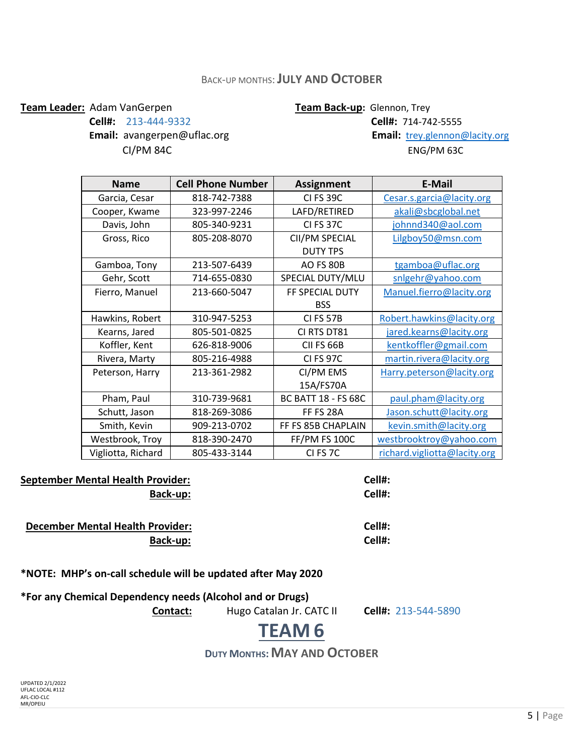### BACK-UP MONTHS:**JULY AND OCTOBER**

#### **Team Leader:** Adam VanGerpen **Team Back-up**: Glennon, Trey

**Email:** [avangerpen@uflac.org](mailto:avangerpen@uflac.org) **Email:** [trey.glennon@lacity.org](mailto:trey.glennon@lacity.org)

**Cell#:** 213-444-9332 **Cell#:** 714-742-5555 CI/PM 84CENG/PM 63C

| <b>Name</b>        | <b>Cell Phone Number</b> | <b>Assignment</b>          | E-Mail                       |
|--------------------|--------------------------|----------------------------|------------------------------|
| Garcia, Cesar      | 818-742-7388             | <b>CI FS 39C</b>           | Cesar.s.garcia@lacity.org    |
| Cooper, Kwame      | 323-997-2246             | LAFD/RETIRED               | akali@sbcglobal.net          |
| Davis, John        | 805-340-9231             | CI FS 37C                  | johnnd340@aol.com            |
| Gross, Rico        | 805-208-8070             | CII/PM SPECIAL             | Lilgboy50@msn.com            |
|                    |                          | <b>DUTY TPS</b>            |                              |
| Gamboa, Tony       | 213-507-6439             | AO FS 80B                  | tgamboa@uflac.org            |
| Gehr, Scott        | 714-655-0830             | SPECIAL DUTY/MLU           | snlgehr@yahoo.com            |
| Fierro, Manuel     | 213-660-5047             | FF SPECIAL DUTY            | Manuel.fierro@lacity.org     |
|                    |                          | <b>BSS</b>                 |                              |
| Hawkins, Robert    | 310-947-5253             | CI FS 57B                  | Robert.hawkins@lacity.org    |
| Kearns, Jared      | 805-501-0825             | CI RTS DT81                | jared.kearns@lacity.org      |
| Koffler, Kent      | 626-818-9006             | CII FS 66B                 | kentkoffler@gmail.com        |
| Rivera, Marty      | 805-216-4988             | <b>CI FS 97C</b>           | martin.rivera@lacity.org     |
| Peterson, Harry    | 213-361-2982             | CI/PM EMS                  | Harry.peterson@lacity.org    |
|                    |                          | 15A/FS70A                  |                              |
| Pham, Paul         | 310-739-9681             | <b>BC BATT 18 - FS 68C</b> | paul.pham@lacity.org         |
| Schutt, Jason      | 818-269-3086             | FF FS 28A                  | Jason.schutt@lacity.org      |
| Smith, Kevin       | 909-213-0702             | FF FS 85B CHAPLAIN         | kevin.smith@lacity.org       |
| Westbrook, Troy    | 818-390-2470             | FF/PM FS 100C              | westbrooktroy@yahoo.com      |
| Vigliotta, Richard | 805-433-3144             | CI FS 7C                   | richard.vigliotta@lacity.org |

**September Mental Health Provider: Cell#:**

 **December Mental Health Provider: Cell#:**

**Back-up: Cell#:**

**Back-up: Cell#:**

**\*NOTE: MHP's on-call schedule will be updated after May 2020**

**\*For any Chemical Dependency needs (Alcohol and or Drugs)**

 **Contact:** Hugo Catalan Jr. CATC II **Cell#:** 213-544-5890

# **TEAM 6**

**DUTY MONTHS:MAY AND OCTOBER**